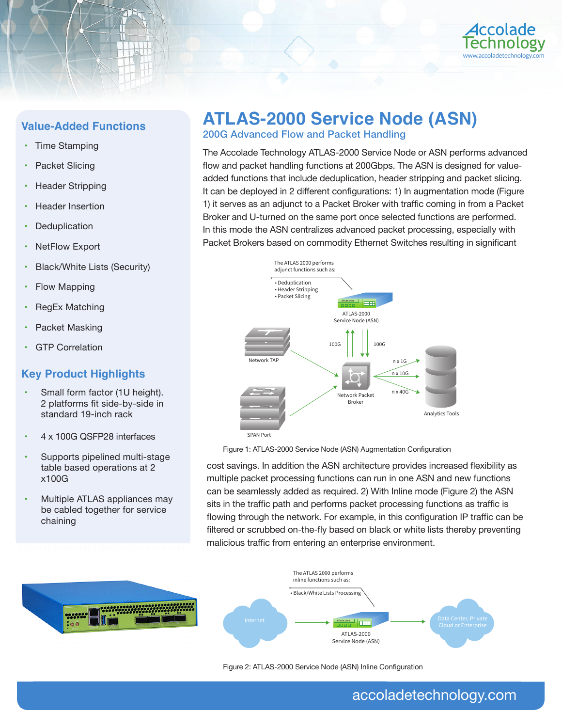

## **Value-Added Functions**

- Time Stamping
- Packet Slicing
- Header Stripping
- **Header Insertion**
- **Deduplication**
- **NetFlow Export**
- Black/White Lists (Security)
- Flow Mapping
- RegEx Matching
- Packet Masking
- **GTP Correlation**

## **Key Product Highlights**

- Small form factor (1U height). 2 platforms fit side-by-side in standard 19-inch rack
- 4 x 100G QSFP28 interfaces
- Supports pipelined multi-stage table based operations at 2 x100G
- Multiple ATLAS appliances may be cabled together for service chaining

# **ATLAS-2000 Service Node (ASN)**

200G Advanced Flow and Packet Handling

The Accolade Technology ATLAS-2000 Service Node or ASN performs advanced flow and packet handling functions at 200Gbps. The ASN is designed for valueadded functions that include deduplication, header stripping and packet slicing. It can be deployed in 2 different configurations: 1) In augmentation mode (Figure 1) it serves as an adjunct to a Packet Broker with traffic coming in from a Packet Broker and U-turned on the same port once selected functions are performed. In this mode the ASN centralizes advanced packet processing, especially with Packet Brokers based on commodity Ethernet Switches resulting in significant



Figure 1: ATLAS-2000 Service Node (ASN) Augmentation Configuration

cost savings. In addition the ASN architecture provides increased flexibility as multiple packet processing functions can run in one ASN and new functions can be seamlessly added as required. 2) With Inline mode (Figure 2) the ASN sits in the traffic path and performs packet processing functions as traffic is flowing through the network. For example, in this configuration IP traffic can be filtered or scrubbed on-the-fly based on black or white lists thereby preventing malicious traffic from entering an enterprise environment.



Figure 2: ATLAS-2000 Service Node (ASN) Inline Configuration

## accoladetechnology.com